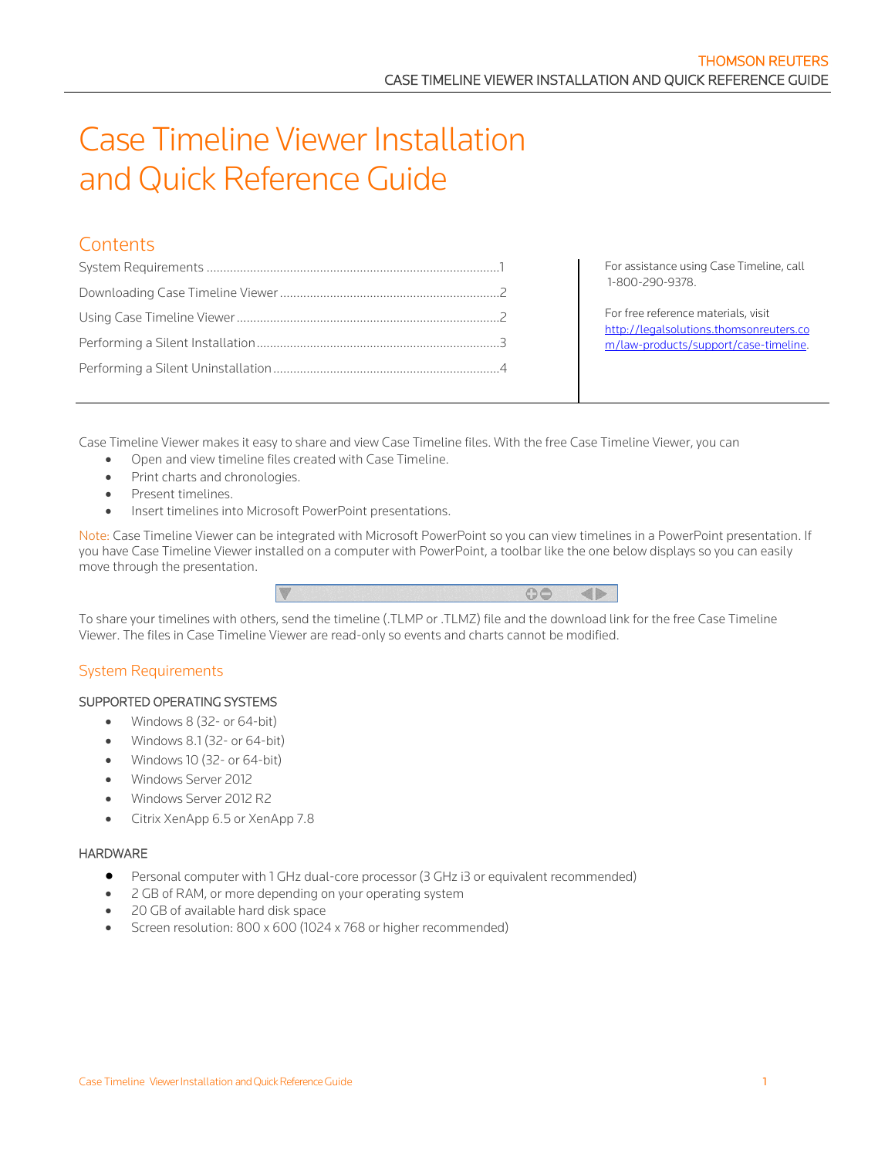# Case Timeline Viewer Installation and Quick Reference Guide

# **Contents**

For assistance using Case Timeline, call 1-800-290-9378.

For free reference materials, visit [http://legalsolutions.thomsonreuters.co](http://legalsolutions.thomsonreuters.com/law-products/support/case-timeline) [m/law-products/support/case-timeline.](http://legalsolutions.thomsonreuters.com/law-products/support/case-timeline)

Case Timeline Viewer makes it easy to share and view Case Timeline files. With the free Case Timeline Viewer, you can

- Open and view timeline files created with Case Timeline.
- Print charts and chronologies.
- Present timelines.
- Insert timelines into Microsoft PowerPoint presentations.

Note: Case Timeline Viewer can be integrated with Microsoft PowerPoint so you can view timelines in a PowerPoint presentation. If you have Case Timeline Viewer installed on a computer with PowerPoint, a toolbar like the one below displays so you can easily move through the presentation.



To share your timelines with others, send the timeline (.TLMP or .TLMZ) file and the download link for the free Case Timeline Viewer. The files in Case Timeline Viewer are read-only so events and charts cannot be modified.

# <span id="page-0-0"></span>System Requirements

#### SUPPORTED OPERATING SYSTEMS

- Windows 8 (32- or 64-bit)
- Windows 8.1 (32- or 64-bit)
- Windows 10 (32- or 64-bit)
- Windows Server 2012
- Windows Server 2012 R2
- Citrix XenApp 6.5 or XenApp 7.8

#### **HARDWARE**

- Personal computer with 1 GHz dual-core processor (3 GHz i3 or equivalent recommended)
- 2 GB of RAM, or more depending on your operating system
- 20 GB of available hard disk space
- Screen resolution: 800 x 600 (1024 x 768 or higher recommended)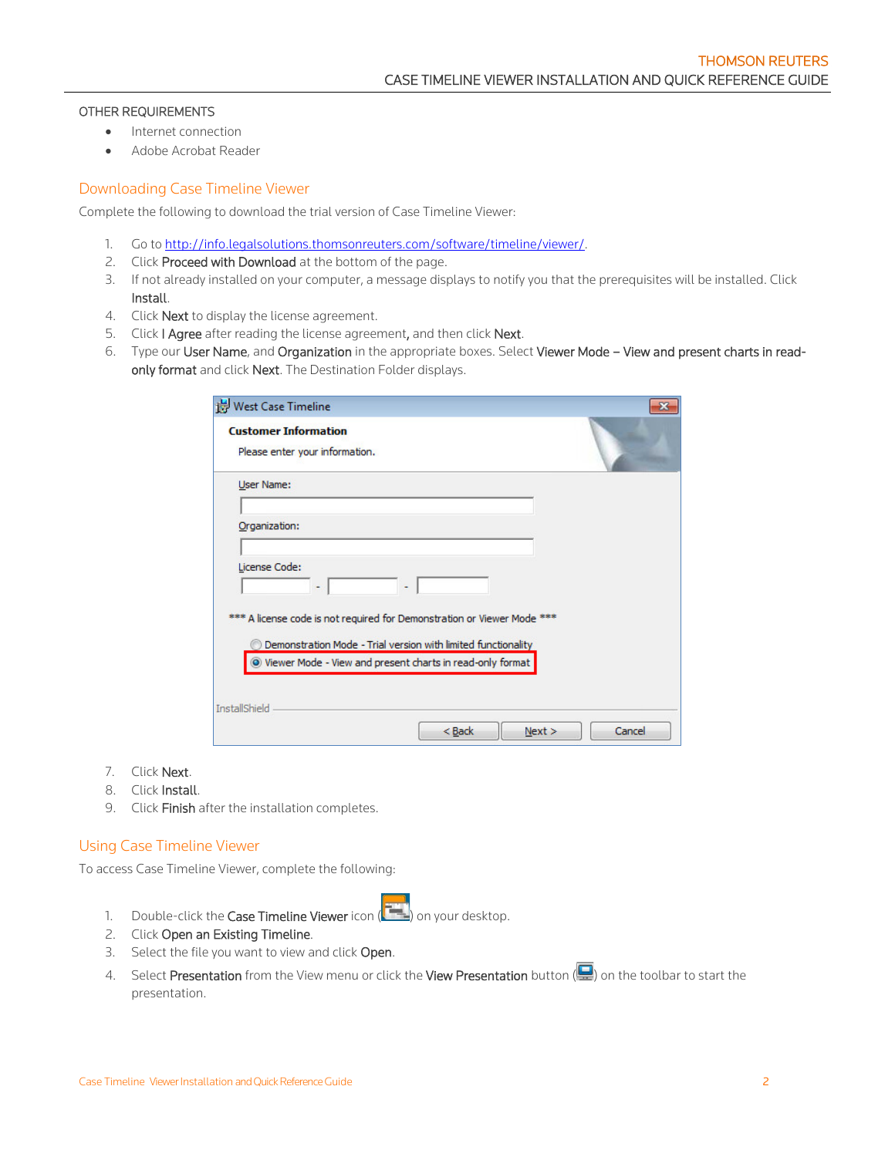#### OTHER REQUIREMENTS

- Internet connection
- Adobe Acrobat Reader

#### <span id="page-1-0"></span>Downloading Case Timeline Viewer

Complete the following to download the trial version of Case Timeline Viewer:

- 1. Go to [http://info.legalsolutions.thomsonreuters.com/software/timeline/viewer/.](http://info.legalsolutions.thomsonreuters.com/software/timeline/viewer/)
- 2. Click Proceed with Download at the bottom of the page.
- 3. If not already installed on your computer, a message displays to notify you that the prerequisites will be installed. Click Install.
- 4. Click **Next** to display the license agreement.
- 5. Click I Agree after reading the license agreement, and then click Next.
- 6. Type our User Name, and Organization in the appropriate boxes. Select Viewer Mode View and present charts in readonly format and click Next. The Destination Folder displays.

| <b>Customer Information</b>                                             |                                                               |  |
|-------------------------------------------------------------------------|---------------------------------------------------------------|--|
| Please enter your information.                                          |                                                               |  |
| User Name:                                                              |                                                               |  |
| Organization:                                                           |                                                               |  |
|                                                                         |                                                               |  |
| License Code:                                                           |                                                               |  |
|                                                                         |                                                               |  |
| *** A license code is not required for Demonstration or Viewer Mode *** |                                                               |  |
|                                                                         | Demonstration Mode - Trial version with limited functionality |  |
| O Viewer Mode - View and present charts in read-only format             |                                                               |  |
| <b>InstallShield</b>                                                    |                                                               |  |
|                                                                         |                                                               |  |

- 7. Click Next.
- 8. Click Install.
- 9. Click Finish after the installation completes.

#### <span id="page-1-1"></span>Using Case Timeline Viewer

To access Case Timeline Viewer, complete the following:

- 1. Double-click the Case Timeline Viewer icon  $(\Box)$  on your desktop.
- 2. Click Open an Existing Timeline.
- 3. Select the file you want to view and click Open.
- 4. Select Presentation from the View menu or click the View Presentation button (**Quart on the toolbar to start the** presentation.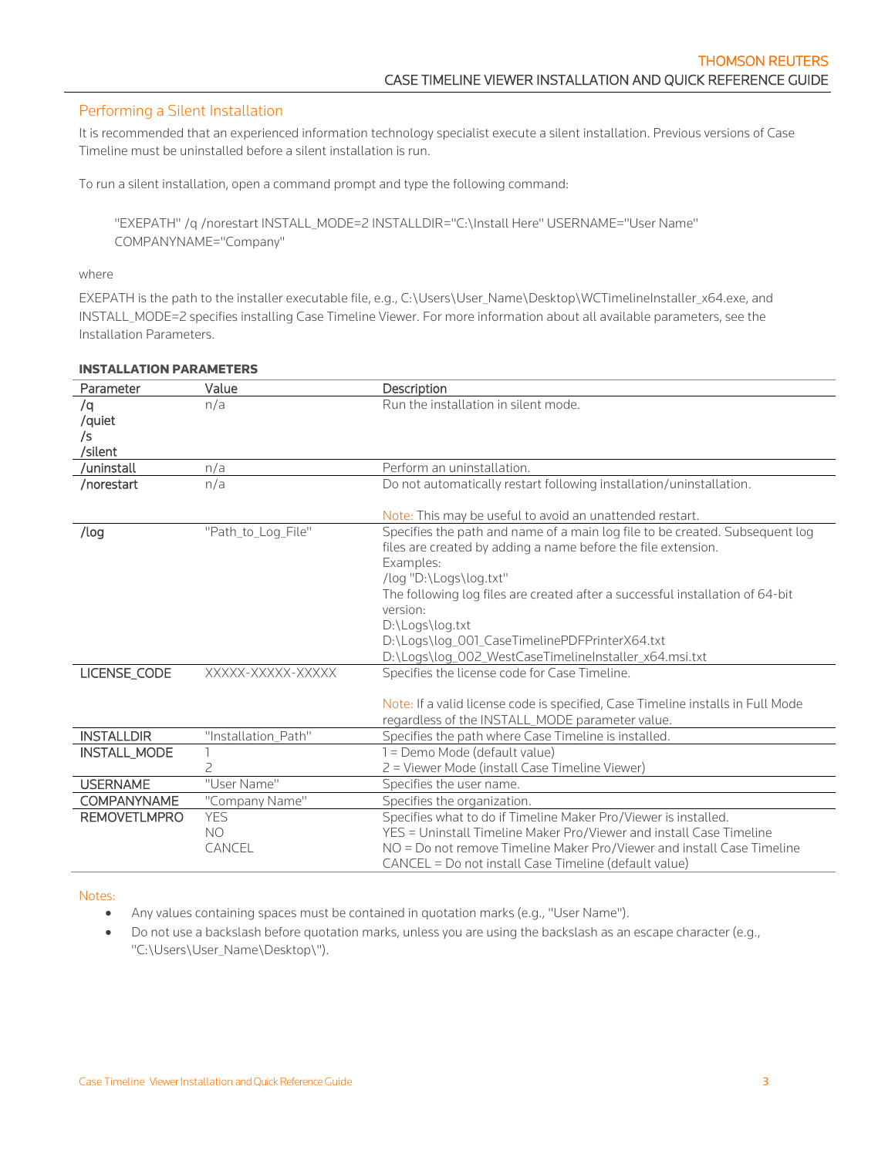# <span id="page-2-0"></span>Performing a Silent Installation

It is recommended that an experienced information technology specialist execute a silent installation. Previous versions of Case Timeline must be uninstalled before a silent installation is run.

To run a silent installation, open a command prompt and type the following command:

"EXEPATH" /q /norestart INSTALL\_MODE=2 INSTALLDIR="C:\Install Here" USERNAME="User Name" COMPANYNAME="Company"

#### where

EXEPATH is the path to the installer executable file, e.g., C:\Users\User\_Name\Desktop\WCTimelineInstaller\_x64.exe, and INSTALL\_MODE=2 specifies installing Case Timeline Viewer. For more information about all available parameters, see the [Installation Parameters.](#page-2-1)

| Parameter           | Value               | Description                                                                     |
|---------------------|---------------------|---------------------------------------------------------------------------------|
| /q                  | n/a                 | Run the installation in silent mode.                                            |
| /quiet              |                     |                                                                                 |
| /s                  |                     |                                                                                 |
| /silent             |                     |                                                                                 |
| /uninstall          | n/a                 | Perform an uninstallation.                                                      |
| /norestart          | n/a                 | Do not automatically restart following installation/uninstallation.             |
|                     |                     | Note: This may be useful to avoid an unattended restart.                        |
| /log                | "Path_to_Log_File"  | Specifies the path and name of a main log file to be created. Subsequent log    |
|                     |                     | files are created by adding a name before the file extension.                   |
|                     |                     | Examples:                                                                       |
|                     |                     | /log "D:\Logs\log.txt"                                                          |
|                     |                     | The following log files are created after a successful installation of 64-bit   |
|                     |                     | version:                                                                        |
|                     |                     | D:\Logs\log.txt                                                                 |
|                     |                     | D:\Logs\log_001_CaseTimelinePDFPrinterX64.txt                                   |
|                     |                     | D:\Logs\log_002_WestCaseTimelineInstaller_x64.msi.txt                           |
| LICENSE_CODE        | XXXXX-XXXXX-XXXXX   | Specifies the license code for Case Timeline.                                   |
|                     |                     |                                                                                 |
|                     |                     | Note: If a valid license code is specified, Case Timeline installs in Full Mode |
|                     |                     | regardless of the INSTALL_MODE parameter value.                                 |
| <b>INSTALLDIR</b>   | "Installation Path" | Specifies the path where Case Timeline is installed.                            |
| <b>INSTALL_MODE</b> |                     | 1 = Demo Mode (default value)                                                   |
|                     | $\overline{c}$      | 2 = Viewer Mode (install Case Timeline Viewer)                                  |
| <b>USERNAME</b>     | "User Name"         | Specifies the user name.                                                        |
| <b>COMPANYNAME</b>  | "Company Name"      | Specifies the organization.                                                     |
| <b>REMOVETLMPRO</b> | <b>YES</b>          | Specifies what to do if Timeline Maker Pro/Viewer is installed.                 |
|                     | N <sub>O</sub>      | YES = Uninstall Timeline Maker Pro/Viewer and install Case Timeline             |
|                     | CANCEL              | NO = Do not remove Timeline Maker Pro/Viewer and install Case Timeline          |
|                     |                     | CANCEL = Do not install Case Timeline (default value)                           |

#### <span id="page-2-1"></span>INSTALLATION PARAMETERS

#### Notes:

- Any values containing spaces must be contained in quotation marks (e.g., "User Name").
- Do not use a backslash before quotation marks, unless you are using the backslash as an escape character (e.g., "C:\Users\User\_Name\Desktop\").